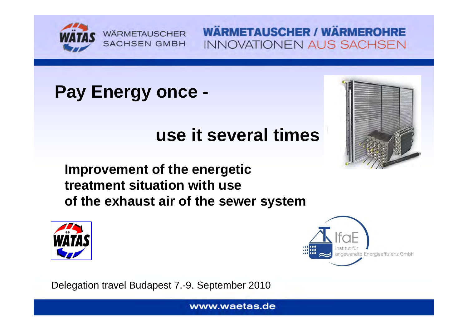

# **Pay Energy once -**

# **use it several times**



**Improvement of the energetic treatment situation with useof the exhaust air of the sewer system**





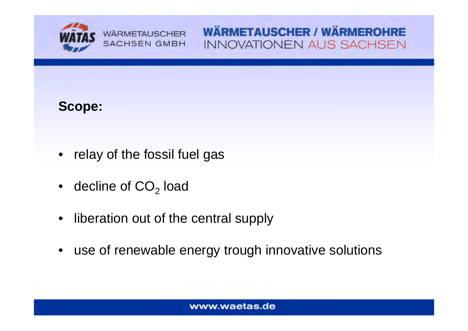

### **Scope:**

- relay of the fossil fuel gas
- $\bullet$  decline of CO<sub>2</sub> load
- $\bullet$ liberation out of the central supply
- •use of renewable energy trough innovative solutions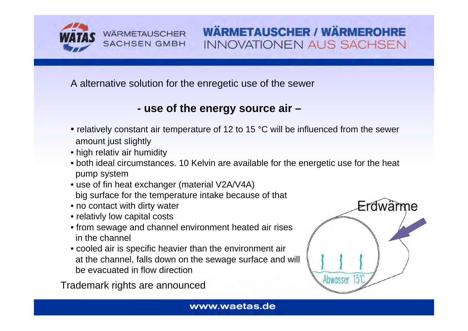

A alternative solution for the enregetic use of the sewer

#### **- use of the energy source air –**

- relatively constant air temperature of 12 to 15 °C will be influenced from the sewer amount just slightly
- high relativ air humidity
- both ideal circumstances. 10 Kelvin are available for the energetic use for the heat pump system
- use of fin heat exchanger (material V2A/V4A) big surface for the temperature intake because of that
- no contact with dirty water
- relativly low capital costs
- from sewage and channel environment heated air rises in the channel
- cooled air is specific heavier than the environment air at the channel, falls down on the sewage surface and will be evacuated in flow direction

Trademark rights are announced

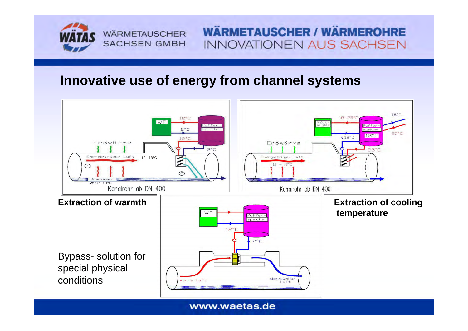

### **Innovative use of energy from channel systems**

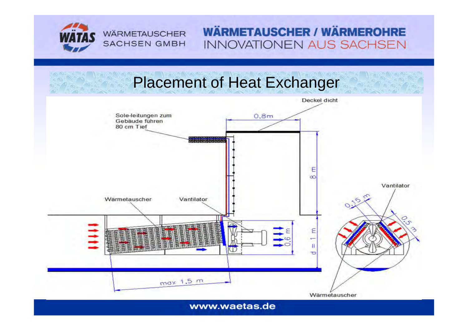

**WÄRMETAUSCHER SACHSEN GMBH** 

### **WÄRMETAUSCHER / WÄRMEROHRE INNOVATIONEN AUS SACHSEN**

### Placement of Heat Exchanger

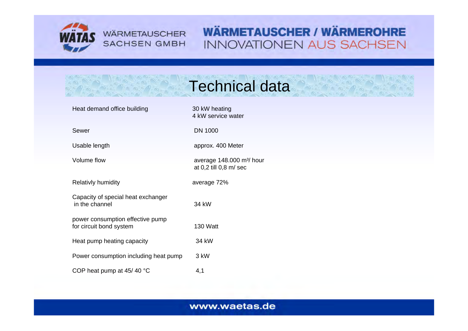

**WÄRMETAUSCHER SACHSEN GMBH** 

### **WÄRMETAUSCHER / WÄRMEROHRE INNOVATIONEN AUS SACHSEN**

# Technical data

4 kW service water

at 0,2 till 0,8 m/ sec

Heat demand office building 30 kW heating

Sewer DN 1000

Usable length approx. 400 Meter

Volume flow average 148.000 m<sup>3</sup>/ hour

Relativly humidity average 72%

Capacity of special heat exchanger in the channel 34 kWpower consumption effective pump

for circuit bond system 130 Watt

Heat pump heating capacity 34 kW

Power consumption including heat pump 3 kW

COP heat pump at  $45/40$  °C  $4,1$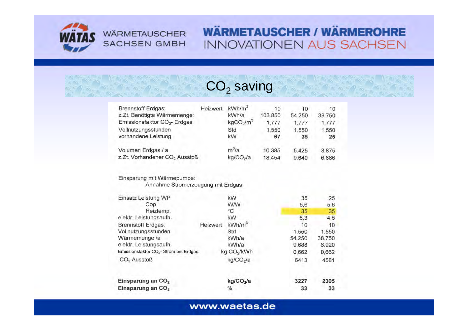

#### **WÄRMETAUSCHER SACHSEN GMBH**

### **WÄRMETAUSCHER / WÄRMEROHRE INNOVATIONEN AUS SACHSEN**

## $\mathsf{CO}_2$  saving

| <b>Brennstoff Erdgas:</b>                  | Heizwert | kWh/m <sup>3</sup>                | 10      | 10     | 10     |
|--------------------------------------------|----------|-----------------------------------|---------|--------|--------|
| z.Zt. Benötigte Wärmemenge:                |          | kWh/a                             | 103.850 | 54.250 | 38.750 |
| Emissionsfaktor CO <sub>2</sub> - Erdgas   |          | kgCO <sub>2</sub> /m <sup>3</sup> | 1,777   | 1,777  | 1,777  |
| Vollnutzungsstunden<br>vorhandene Leistung |          | Std                               | 1.550   | 1.550  | 1.550  |
|                                            |          | kW                                | 67      | 35     | 25     |
| Volumen Erdgas / a                         |          | $m^3/a$                           | 10.385  | 5.425  | 3.875  |
| z.Zt. Vorhandener CO <sub>2</sub> Ausstoß  |          | kg/CO <sub>2</sub> /a             | 18.454  | 9.640  | 6.886  |
|                                            |          |                                   |         |        |        |

#### Einsparung mit Wärmepumpe:

Annahme Stromerzeugung mit Erdgas

| Einsatz Leistung WP                                |          | kW                      | 35     | 25     |  |
|----------------------------------------------------|----------|-------------------------|--------|--------|--|
| Cop                                                |          | <b>W/W</b>              | 5,6    | 5,6    |  |
| Heiztemp.                                          |          | °C                      | 35     | 35     |  |
| elektr. Leistungsaufn.                             |          | kW                      | 6,3    | 4,5    |  |
| <b>Brennstoff Erdgas:</b>                          | Heizwert | kWh/m <sup>3</sup>      | 10     | 10     |  |
| Vollnutzungsstunden                                |          | Std                     | 1.550  | 1.550  |  |
| Wärmemenge /a                                      |          | kWh/a                   | 54,250 | 38.750 |  |
| elektr. Leistungsaufn.                             |          | kWh/a                   | 9.688  | 6.920  |  |
| Emissionsfaktor CO <sub>2</sub> - Strom bei Erdgas |          | kg CO <sub>2</sub> /kWh | 0,662  | 0,662  |  |
| CO <sub>2</sub> Ausstoß                            |          | kg/CO <sub>2</sub> /a   | 6413   | 4581   |  |
| Einsparung an CO <sub>2</sub>                      |          | kg/CO <sub>2</sub> /a   | 3227   | 2305   |  |
| Einsparung an CO <sub>2</sub>                      |          | %                       | 33     | 33     |  |